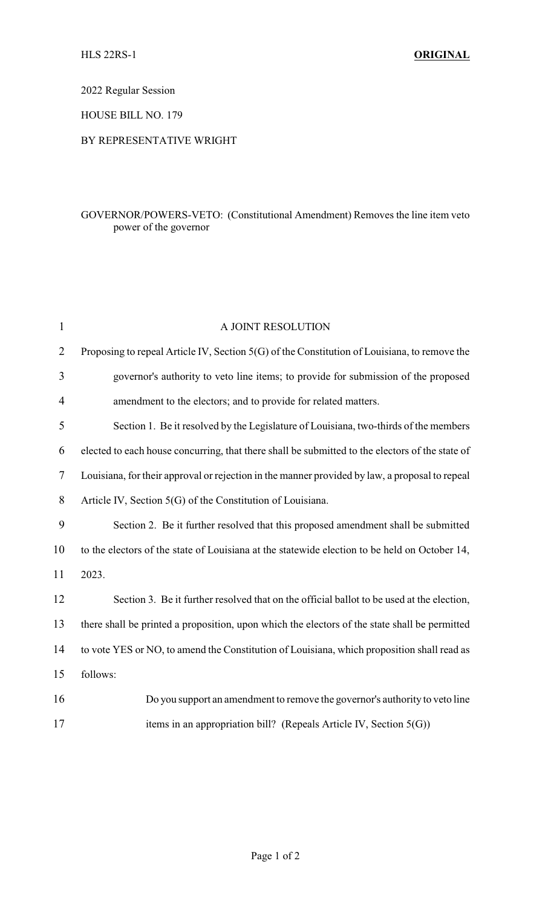2022 Regular Session

HOUSE BILL NO. 179

## BY REPRESENTATIVE WRIGHT

## GOVERNOR/POWERS-VETO: (Constitutional Amendment) Removes the line item veto power of the governor

| $\mathbf{1}$   | A JOINT RESOLUTION                                                                              |
|----------------|-------------------------------------------------------------------------------------------------|
| $\overline{2}$ | Proposing to repeal Article IV, Section 5(G) of the Constitution of Louisiana, to remove the    |
| 3              | governor's authority to veto line items; to provide for submission of the proposed              |
| 4              | amendment to the electors; and to provide for related matters.                                  |
| 5              | Section 1. Be it resolved by the Legislature of Louisiana, two-thirds of the members            |
| 6              | elected to each house concurring, that there shall be submitted to the electors of the state of |
| 7              | Louisiana, for their approval or rejection in the manner provided by law, a proposal to repeal  |
| 8              | Article IV, Section 5(G) of the Constitution of Louisiana.                                      |
| 9              | Section 2. Be it further resolved that this proposed amendment shall be submitted               |
| 10             | to the electors of the state of Louisiana at the statewide election to be held on October 14,   |
| 11             | 2023.                                                                                           |
| 12             | Section 3. Be it further resolved that on the official ballot to be used at the election,       |
| 13             | there shall be printed a proposition, upon which the electors of the state shall be permitted   |
| 14             | to vote YES or NO, to amend the Constitution of Louisiana, which proposition shall read as      |
| 15             | follows:                                                                                        |
| 16             | Do you support an amendment to remove the governor's authority to veto line                     |
| 17             | items in an appropriation bill? (Repeals Article IV, Section $5(G)$ )                           |